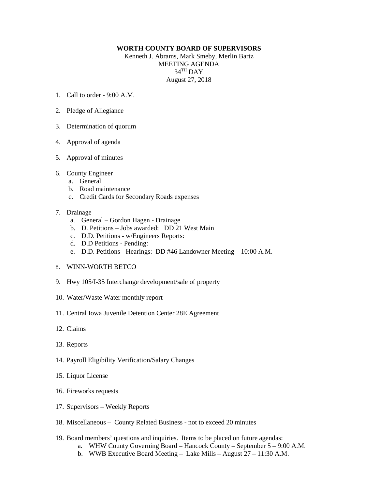## **WORTH COUNTY BOARD OF SUPERVISORS**

Kenneth J. Abrams, Mark Smeby, Merlin Bartz MEETING AGENDA 34TH DAY August 27, 2018

- 1. Call to order 9:00 A.M.
- 2. Pledge of Allegiance
- 3. Determination of quorum
- 4. Approval of agenda
- 5. Approval of minutes
- 6. County Engineer
	- a. General
	- b. Road maintenance
	- c. Credit Cards for Secondary Roads expenses

## 7. Drainage

- a. General Gordon Hagen Drainage
- b. D. Petitions Jobs awarded: DD 21 West Main
- c. D.D. Petitions w/Engineers Reports:
- d. D.D Petitions Pending:
- e. D.D. Petitions Hearings: DD #46 Landowner Meeting 10:00 A.M.
- 8. WINN-WORTH BETCO
- 9. Hwy 105/I-35 Interchange development/sale of property
- 10. Water/Waste Water monthly report
- 11. Central Iowa Juvenile Detention Center 28E Agreement
- 12. Claims
- 13. Reports
- 14. Payroll Eligibility Verification/Salary Changes
- 15. Liquor License
- 16. Fireworks requests
- 17. Supervisors Weekly Reports
- 18. Miscellaneous County Related Business not to exceed 20 minutes
- 19. Board members' questions and inquiries. Items to be placed on future agendas:
	- a. WHW County Governing Board Hancock County September 5 9:00 A.M.
		- b. WWB Executive Board Meeting Lake Mills August 27 11:30 A.M.